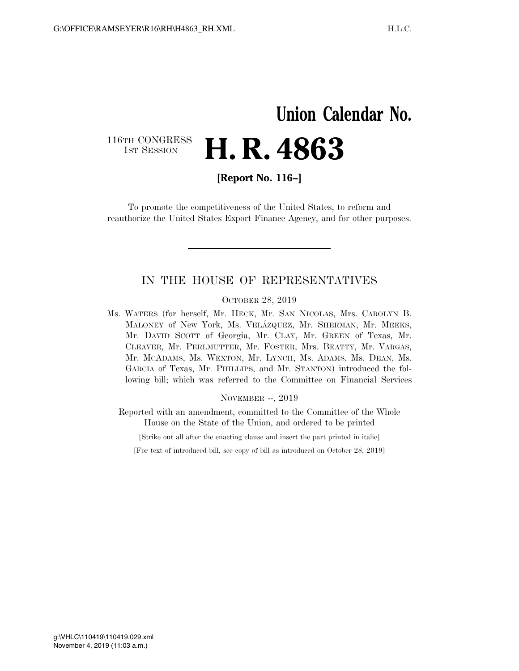# **Union Calendar No.** 116TH CONGRESS<br>1st Session H. R. 4863

**[Report No. 116–]** 

To promote the competitiveness of the United States, to reform and reauthorize the United States Export Finance Agency, and for other purposes.

## IN THE HOUSE OF REPRESENTATIVES

OCTOBER 28, 2019

Ms. WATERS (for herself, Mr. HECK, Mr. SAN NICOLAS, Mrs. CAROLYN B. MALONEY of New York, Ms. VELÁZQUEZ, Mr. SHERMAN, Mr. MEEKS, Mr. DAVID SCOTT of Georgia, Mr. CLAY, Mr. GREEN of Texas, Mr. CLEAVER, Mr. PERLMUTTER, Mr. FOSTER, Mrs. BEATTY, Mr. VARGAS, Mr. MCADAMS, Ms. WEXTON, Mr. LYNCH, Ms. ADAMS, Ms. DEAN, Ms. GARCIA of Texas, Mr. PHILLIPS, and Mr. STANTON) introduced the following bill; which was referred to the Committee on Financial Services

NOVEMBER --, 2019

Reported with an amendment, committed to the Committee of the Whole House on the State of the Union, and ordered to be printed

[Strike out all after the enacting clause and insert the part printed in italic]

[For text of introduced bill, see copy of bill as introduced on October 28, 2019]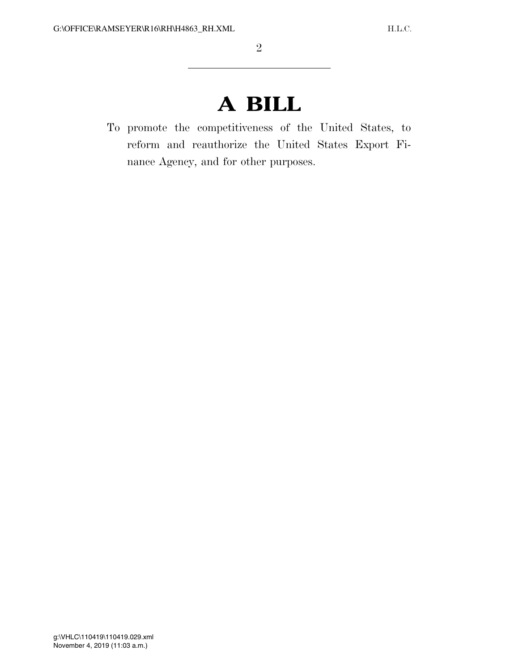# **A BILL**

To promote the competitiveness of the United States, to reform and reauthorize the United States Export Finance Agency, and for other purposes.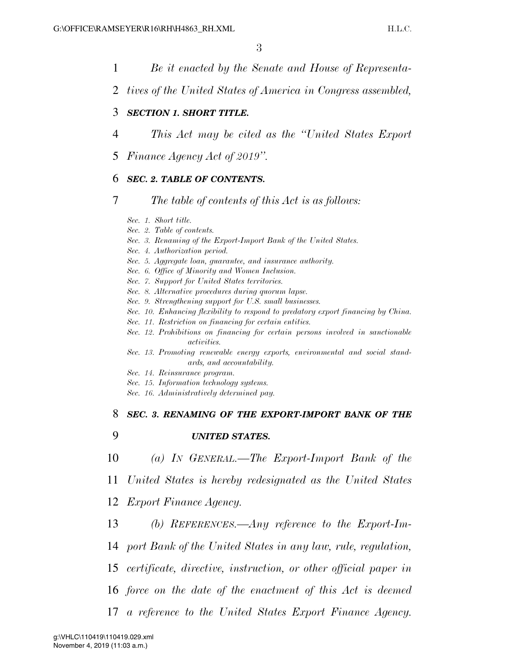- 1 *Be it enacted by the Senate and House of Representa-*
- 2 *tives of the United States of America in Congress assembled,*

#### 3 *SECTION 1. SHORT TITLE.*

- 4 *This Act may be cited as the ''United States Export*
- 5 *Finance Agency Act of 2019''.*

#### 6 *SEC. 2. TABLE OF CONTENTS.*

### 7 *The table of contents of this Act is as follows:*

- *Sec. 1. Short title.*
- *Sec. 2. Table of contents.*
- *Sec. 3. Renaming of the Export-Import Bank of the United States.*
- *Sec. 4. Authorization period.*
- *Sec. 5. Aggregate loan, guarantee, and insurance authority.*
- *Sec. 6. Office of Minority and Women Inclusion.*
- *Sec. 7. Support for United States territories.*
- *Sec. 8. Alternative procedures during quorum lapse.*
- *Sec. 9. Strengthening support for U.S. small businesses.*
- *Sec. 10. Enhancing flexibility to respond to predatory export financing by China.*
- *Sec. 11. Restriction on financing for certain entities.*
- *Sec. 12. Prohibitions on financing for certain persons involved in sanctionable activities.*
- *Sec. 13. Promoting renewable energy exports, environmental and social standards, and accountability.*
- *Sec. 14. Reinsurance program.*
- *Sec. 15. Information technology systems.*
- *Sec. 16. Administratively determined pay.*

#### 8 *SEC. 3. RENAMING OF THE EXPORT-IMPORT BANK OF THE*

- 9 *UNITED STATES.*
- 10 *(a) IN GENERAL.—The Export-Import Bank of the*
- 11 *United States is hereby redesignated as the United States*
- 12 *Export Finance Agency.*
- 13 *(b) REFERENCES.—Any reference to the Export-Im-*
- 14 *port Bank of the United States in any law, rule, regulation,*
- 15 *certificate, directive, instruction, or other official paper in*
- 16 *force on the date of the enactment of this Act is deemed*
- 17 *a reference to the United States Export Finance Agency.*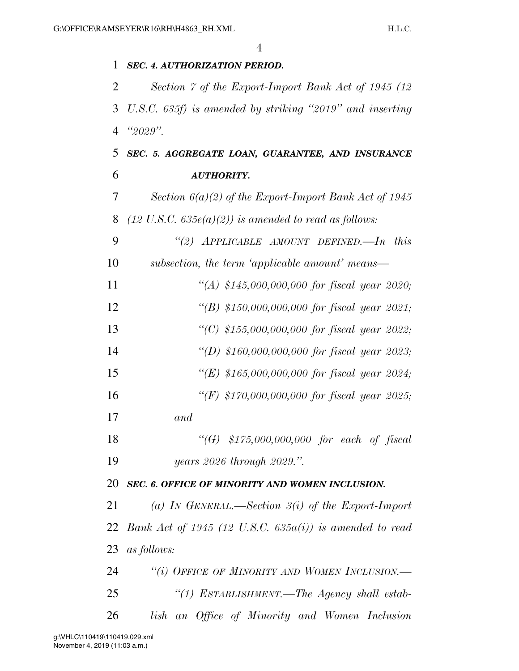| 1              | <b>SEC. 4. AUTHORIZATION PERIOD.</b>                             |
|----------------|------------------------------------------------------------------|
| 2              | Section 7 of the Export-Import Bank Act of 1945 (12)             |
| 3              | U.S.C. 635f) is amended by striking "2019" and inserting         |
| $\overline{4}$ | " $2029"$ .                                                      |
| 5              | SEC. 5. AGGREGATE LOAN, GUARANTEE, AND INSURANCE                 |
| 6              | <b>AUTHORITY.</b>                                                |
| 7              | Section $6(a)(2)$ of the Export-Import Bank Act of 1945          |
| 8              | $(12 \text{ U.S.C. } 635e(a)(2))$ is amended to read as follows: |
| 9              | "(2) APPLICABLE AMOUNT DEFINED.—In this                          |
| 10             | subsection, the term 'applicable amount' means-                  |
| 11             | "(A) \$145,000,000,000 for fiscal year 2020;                     |
| 12             | "(B) \$150,000,000,000 for fiscal year 2021;                     |
| 13             | "(C) \$155,000,000,000 for fiscal year 2022;                     |
| 14             | "(D) \$160,000,000,000 for fiscal year 2023;                     |
| 15             | "(E) \$165,000,000,000 for fiscal year 2024;                     |
| 16             | "(F) \$170,000,000,000 for fiscal year 2025;                     |
| 17             | and                                                              |
| 18             | "(G) $$175,000,000,000$ for each of fiscal                       |
| 19             | years 2026 through 2029.".                                       |
| 20             | SEC. 6. OFFICE OF MINORITY AND WOMEN INCLUSION.                  |
| 21             | (a) IN GENERAL.—Section $3(i)$ of the Export-Import              |
| 22             | Bank Act of 1945 (12 U.S.C. $635a(i)$ ) is amended to read       |
| 23             | as follows:                                                      |
| 24             | "(i) OFFICE OF MINORITY AND WOMEN INCLUSION.—                    |
| 25             | "(1) ESTABLISHMENT.-The Agency shall estab-                      |
| 26             | lish an Office of Minority and Women Inclusion                   |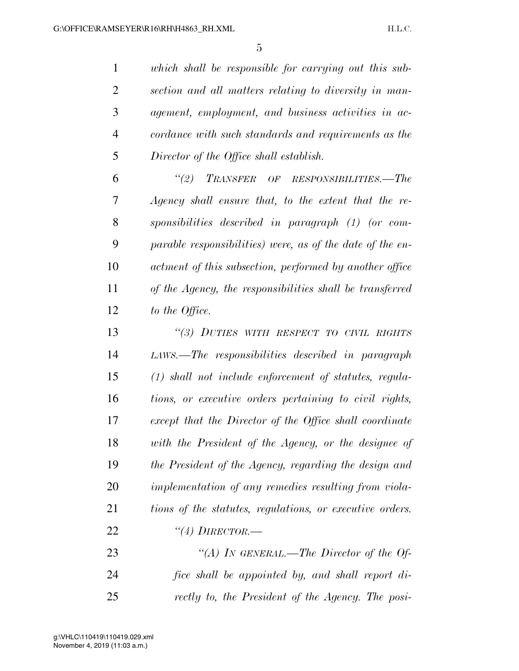*which shall be responsible for carrying out this sub- section and all matters relating to diversity in man- agement, employment, and business activities in ac- cordance with such standards and requirements as the Director of the Office shall establish.* 

 *''(2) TRANSFER OF RESPONSIBILITIES.—The Agency shall ensure that, to the extent that the re- sponsibilities described in paragraph (1) (or com- parable responsibilities) were, as of the date of the en- actment of this subsection, performed by another office of the Agency, the responsibilities shall be transferred to the Office.* 

 *''(3) DUTIES WITH RESPECT TO CIVIL RIGHTS LAWS.—The responsibilities described in paragraph (1) shall not include enforcement of statutes, regula- tions, or executive orders pertaining to civil rights, except that the Director of the Office shall coordinate with the President of the Agency, or the designee of the President of the Agency, regarding the design and implementation of any remedies resulting from viola- tions of the statutes, regulations, or executive orders. ''(4) DIRECTOR.—*

 *''(A) IN GENERAL.—The Director of the Of- fice shall be appointed by, and shall report di-rectly to, the President of the Agency. The posi-*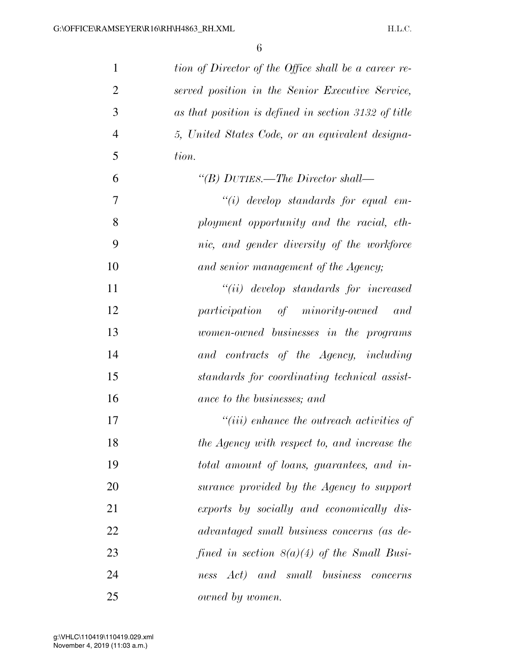| $\mathbf{1}$   | tion of Director of the Office shall be a career re- |
|----------------|------------------------------------------------------|
| $\overline{2}$ | served position in the Senior Executive Service,     |
| 3              | as that position is defined in section 3132 of title |
| $\overline{4}$ | 5, United States Code, or an equivalent designa-     |
| 5              | tion.                                                |
| 6              | "(B) DUTIES.—The Director shall—                     |
| 7              | $``(i)$ develop standards for equal em-              |
| 8              | ployment opportunity and the racial, eth-            |
| 9              | nic, and gender diversity of the workforce           |
| 10             | and senior management of the Agency;                 |
| 11             | $``(ii)$ develop standards for increased             |
| 12             | participation of minority-owned and                  |
| 13             | women-owned businesses in the programs               |
| 14             | and contracts of the Agency, including               |
| 15             | standards for coordinating technical assist-         |
| 16             | ance to the businesses; and                          |
| 17             | $``(iii)$ enhance the outreach activities of         |
| 18             | the Agency with respect to, and increase the         |
| 19             | total amount of loans, guarantees, and in-           |
| 20             | surance provided by the Agency to support            |
| 21             | exports by socially and economically dis-            |
| 22             | advantaged small business concerns (as de-           |
| 23             | fined in section $S(a)(4)$ of the Small Busi-        |
| 24             | ness Act) and small business concerns                |
| 25             | owned by women.                                      |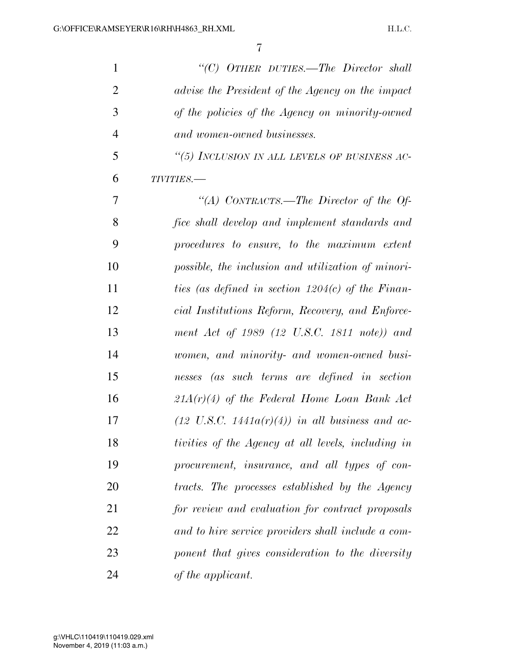| $\mathbf{1}$   | " $(C)$ OTHER DUTIES.—The Director shall                   |
|----------------|------------------------------------------------------------|
| $\overline{2}$ | advise the President of the Agency on the impact           |
| 3              | of the policies of the Agency on minority-owned            |
| $\overline{4}$ | and women-owned businesses.                                |
| 5              | "(5) INCLUSION IN ALL LEVELS OF BUSINESS AC-               |
| 6              | TIVITIES.-                                                 |
| 7              | "(A) CONTRACTS.—The Director of the Of-                    |
| 8              | fice shall develop and implement standards and             |
| 9              | procedures to ensure, to the maximum extent                |
| 10             | possible, the inclusion and utilization of minori-         |
| 11             | ties (as defined in section $1204(c)$ of the Finan-        |
| 12             | cial Institutions Reform, Recovery, and Enforce-           |
| 13             | ment Act of 1989 (12 U.S.C. 1811 note)) and                |
| 14             | women, and minority- and women-owned busi-                 |
| 15             | nesses (as such terms are defined in section               |
| 16             | $21A(r)(4)$ of the Federal Home Loan Bank Act              |
| 17             | $(12 \text{ U.S.C. } 1441a(r)(4))$ in all business and ac- |
| 18             | tivities of the Agency at all levels, including in         |
| 19             | procurement, insurance, and all types of con-              |
| 20             | tracts. The processes established by the Agency            |
| 21             | for review and evaluation for contract proposals           |
| 22             | and to hire service providers shall include a com-         |
| 23             | ponent that gives consideration to the diversity           |
| 24             | of the applicant.                                          |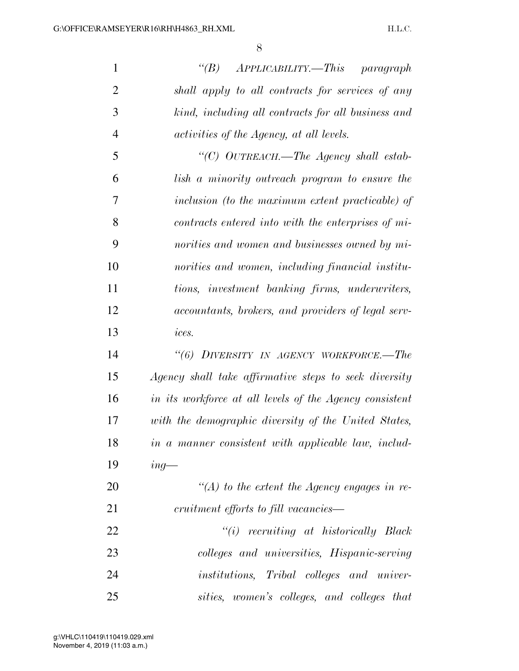| $\mathbf{1}$   | $APPLICABILITY. - This paragraph$<br>$\lq(B)$                    |
|----------------|------------------------------------------------------------------|
| $\overline{2}$ | shall apply to all contracts for services of any                 |
| 3              | kind, including all contracts for all business and               |
| $\overline{4}$ | activities of the Agency, at all levels.                         |
| 5              | "(C) OUTREACH.-The Agency shall estab-                           |
| 6              | lish a minority outreach program to ensure the                   |
| 7              | inclusion (to the maximum extent practicable) of                 |
| 8              | contracts entered into with the enterprises of mi-               |
| 9              | norities and women and businesses owned by mi-                   |
| 10             | norities and women, including financial institu-                 |
| 11             | tions, investment banking firms, underwriters,                   |
| 12             | <i>accountants, brokers, and providers of legal serv-</i>        |
| 13             | ices.                                                            |
| 14             | "(6) DIVERSITY IN AGENCY WORKFORCE.-The                          |
| 15             | Agency shall take affirmative steps to seek diversity            |
| 16             | in its workforce at all levels of the Agency consistent          |
| 17             | with the demographic diversity of the United States,             |
| 18             | in a manner consistent with applicable law, includ-              |
| 19             | $ing-$                                                           |
| 20             | "(A) to the extent the Agency engages in re-                     |
| 21             | cruitment efforts to fill vacancies—                             |
| 22             | $``(i)$ recruiting at historically Black                         |
| 23             | colleges and universities, Hispanic-serving                      |
| 24             | <i>institutions</i> , <i>Tribal colleges</i> and <i>univer</i> - |
| 25             | sities, women's colleges, and colleges that                      |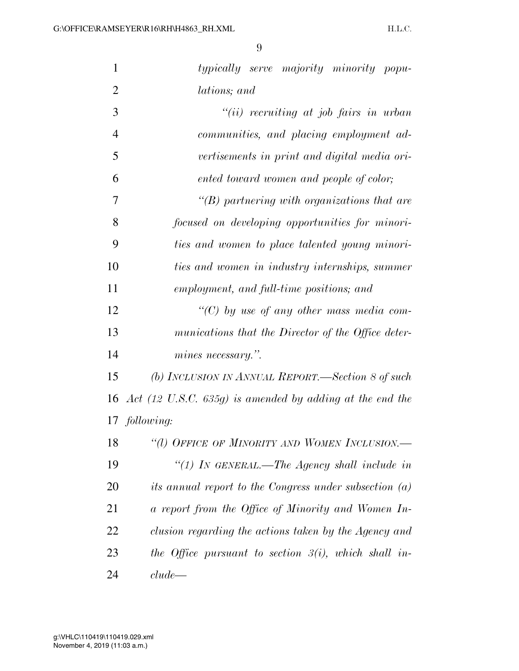| $\mathbf{1}$   | typically serve majority minority popu-                             |
|----------------|---------------------------------------------------------------------|
| $\overline{2}$ | lations; and                                                        |
| 3              | $``(ii)$ recruiting at job fairs in urban                           |
| $\overline{4}$ | communities, and placing employment ad-                             |
| 5              | vertisements in print and digital media ori-                        |
| 6              | ented toward women and people of color;                             |
| $\overline{7}$ | $\lq\lq(B)$ partnering with organizations that are                  |
| 8              | focused on developing opportunities for minori-                     |
| 9              | ties and women to place talented young minori-                      |
| 10             | ties and women in industry internships, summer                      |
| 11             | employment, and full-time positions; and                            |
| 12             | "(C) by use of any other mass media com-                            |
| 13             | munications that the Director of the Office deter-                  |
| 14             | mines necessary.".                                                  |
| 15             | (b) INCLUSION IN ANNUAL REPORT.—Section 8 of such                   |
| 16             | Act $(12 \text{ U.S.C. } 635g)$ is amended by adding at the end the |
|                | 17 following:                                                       |
| 18             | "(1) OFFICE OF MINORITY AND WOMEN INCLUSION.-                       |
| 19             | "(1) In GENERAL.—The Agency shall include in                        |
| 20             | its annual report to the Congress under subsection $(a)$            |
| 21             | a report from the Office of Minority and Women In-                  |
| 22             | clusion regarding the actions taken by the Agency and               |
| 23             | the Office pursuant to section $3(i)$ , which shall in-             |
| 24             | clude                                                               |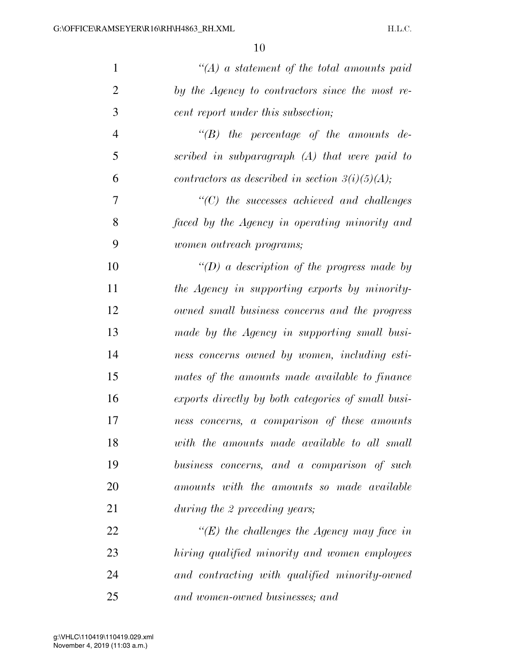| $\mathbf{1}$   | $\lq (A)$ a statement of the total amounts paid    |
|----------------|----------------------------------------------------|
| $\overline{2}$ | by the Agency to contractors since the most re-    |
| 3              | cent report under this subsection;                 |
| $\overline{4}$ | $\lq\lq B$ the percentage of the amounts de-       |
| 5              | scribed in subparagraph (A) that were paid to      |
| 6              | contractors as described in section $3(i)(5)(A);$  |
| 7              | $\lq\lq C$ ) the successes achieved and challenges |
| 8              | faced by the Agency in operating minority and      |
| 9              | women outreach programs;                           |
| 10             | "(D) a description of the progress made by         |
| 11             | the Agency in supporting exports by minority-      |
| 12             | owned small business concerns and the progress     |
| 13             | made by the Agency in supporting small busi-       |
| 14             | ness concerns owned by women, including esti-      |
| 15             | mates of the amounts made available to finance     |
| 16             | exports directly by both categories of small busi- |
| 17             | ness concerns, a comparison of these amounts       |
| 18             | with the amounts made available to all small       |
| 19             | business concerns, and a comparison of such        |
| 20             | amounts with the amounts so made available         |
| 21             | during the 2 preceding years;                      |
| 22             | "(E) the challenges the Agency may face in         |
| 23             | hiring qualified minority and women employees      |
| 24             | and contracting with qualified minority-owned      |
| 25             | and women-owned businesses; and                    |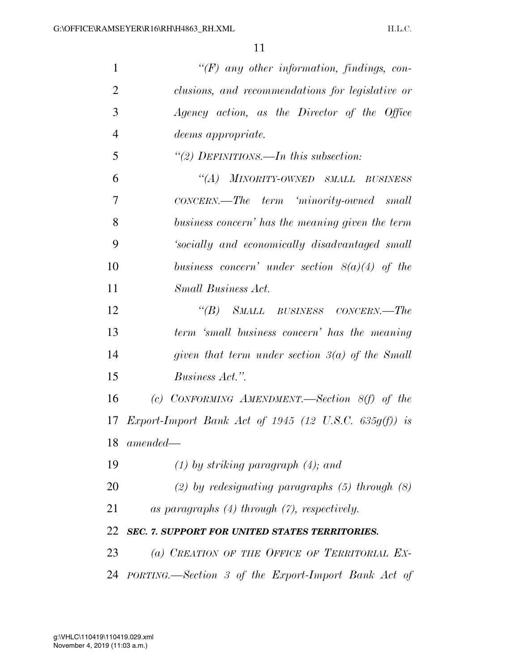| $\mathbf{1}$   | $\lq (F)$ any other information, findings, con-              |
|----------------|--------------------------------------------------------------|
| $\overline{2}$ | clusions, and recommendations for legislative or             |
| 3              | Agency action, as the Director of the Office                 |
| $\overline{4}$ | <i>deems appropriate.</i>                                    |
| 5              | "(2) DEFINITIONS.—In this subsection:                        |
| 6              | "(A) MINORITY-OWNED SMALL BUSINESS                           |
| 7              | $CONCERN. - The-term - 'minority-ovned - small$              |
| 8              | business concern' has the meaning given the term             |
| 9              | 'socially and economically disadvantaged small               |
| 10             | business concern' under section $8(a)(4)$ of the             |
| 11             | Small Business Act.                                          |
| 12             | "(B) SMALL BUSINESS CONCERN.—The                             |
| 13             | term 'small business concern' has the meaning                |
| 14             | given that term under section $3(a)$ of the Small            |
| 15             | <i>Business Act.</i> ".                                      |
| 16             | (c) CONFORMING AMENDMENT.—Section $8(f)$ of the              |
| 17             | <i>Export-Import Bank Act of 1945 (12 U.S.C. 635g(f))</i> is |
| 18             | $amended-$                                                   |
| 19             | $(1)$ by striking paragraph $(4)$ ; and                      |
| 20             | (2) by redesignating paragraphs $(5)$ through $(8)$          |
| 21             | as paragraphs $(4)$ through $(7)$ , respectively.            |
| 22             | SEC. 7. SUPPORT FOR UNITED STATES TERRITORIES.               |
| 23             | (a) CREATION OF THE OFFICE OF TERRITORIAL EX-                |
|                | 24 PORTING.—Section 3 of the Export-Import Bank Act of       |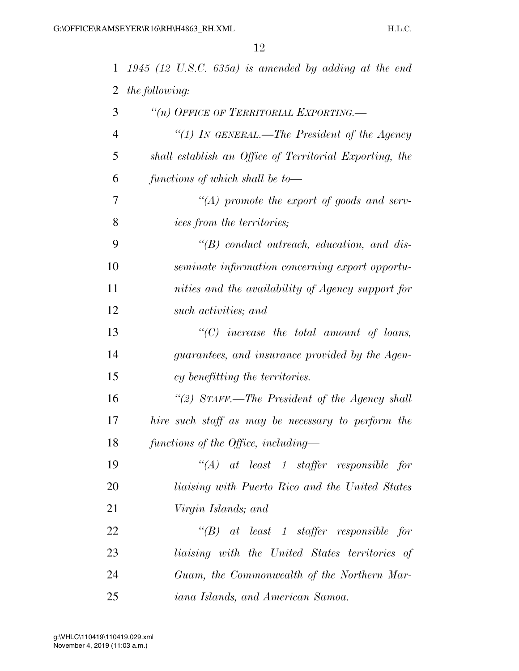| $\mathbf{1}$   | $1945$ (12 U.S.C. 635a) is amended by adding at the end |
|----------------|---------------------------------------------------------|
| 2              | <i>the following:</i>                                   |
| 3              | "(n) OFFICE OF TERRITORIAL EXPORTING.-                  |
| $\overline{4}$ | "(1) In GENERAL.—The President of the Agency            |
| 5              | shall establish an Office of Territorial Exporting, the |
| 6              | functions of which shall be to-                         |
| 7              | $\lq (A)$ promote the export of goods and serv-         |
| 8              | <i>ices from the territories;</i>                       |
| 9              | $\lq\lq B$ conduct outreach, education, and dis-        |
| 10             | seminate information concerning export opportu-         |
| 11             | nities and the availability of Agency support for       |
| 12             | such activities; and                                    |
| 13             | $\lq\lq C$ increase the total amount of loans,          |
| 14             | guarantees, and insurance provided by the Agen-         |
| 15             | cy benefitting the territories.                         |
| 16             | "(2) STAFF.—The President of the Agency shall           |
| 17             | hire such staff as may be necessary to perform the      |
| 18             | functions of the Office, including—                     |
| 19             | $\lq\lq (A)$ at least 1 staffer responsible for         |
| 20             | <i>liaising with Puerto Rico and the United States</i>  |
| 21             | Virgin Islands; and                                     |
| 22             | $\lq\lq B$ at least 1 staffer responsible for           |
| 23             | liaising with the United States territories of          |
| 24             | Guam, the Commonwealth of the Northern Mar-             |
| 25             | iana Islands, and American Samoa.                       |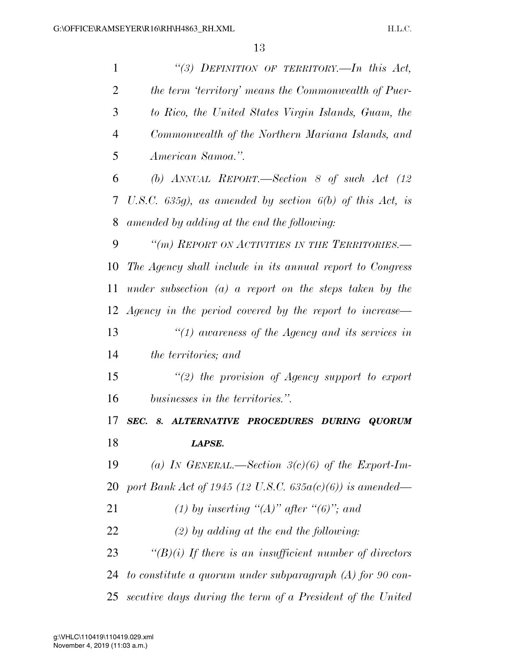| $\mathbf{1}$   | "(3) DEFINITION OF TERRITORY.—In this Act,                    |
|----------------|---------------------------------------------------------------|
| $\overline{2}$ | the term 'territory' means the Commonwealth of Puer-          |
| 3              | to Rico, the United States Virgin Islands, Guam, the          |
| 4              | Commonwealth of the Northern Mariana Islands, and             |
| 5              | American Samoa.".                                             |
| 6              | (b) ANNUAL REPORT.—Section 8 of such Act $(12)$               |
| 7              | U.S.C. $635g$ ), as amended by section $6(b)$ of this Act, is |
| 8              | amended by adding at the end the following:                   |
| 9              | "(m) REPORT ON ACTIVITIES IN THE TERRITORIES.-                |
| 10             | The Agency shall include in its annual report to Congress     |
| 11             | under subsection $(a)$ a report on the steps taken by the     |
|                | 12 Agency in the period covered by the report to increase—    |
| 13             | " $(1)$ awareness of the Agency and its services in           |
| 14             | the territories; and                                          |
| 15             | $\lq(2)$ the provision of Agency support to export            |
| 16             | businesses in the territories.".                              |
| 17             | SEC.<br>ALTERNATIVE PROCEDURES DURING QUORUM<br>8.            |
| 18             | LAPSE.                                                        |
| 19             | (a) IN GENERAL.—Section $3(c)(6)$ of the Export-Im-           |
| 20             | port Bank Act of 1945 (12 U.S.C. $635a(c)(6)$ ) is amended—   |
| 21             | (1) by inserting "(A)" after "(6)"; and                       |
| 22             | $(2)$ by adding at the end the following:                     |
| 23             | " $(B)(i)$ If there is an insufficient number of directors    |
| 24             | to constitute a quorum under subparagraph $(A)$ for 90 con-   |
|                |                                                               |

*secutive days during the term of a President of the United*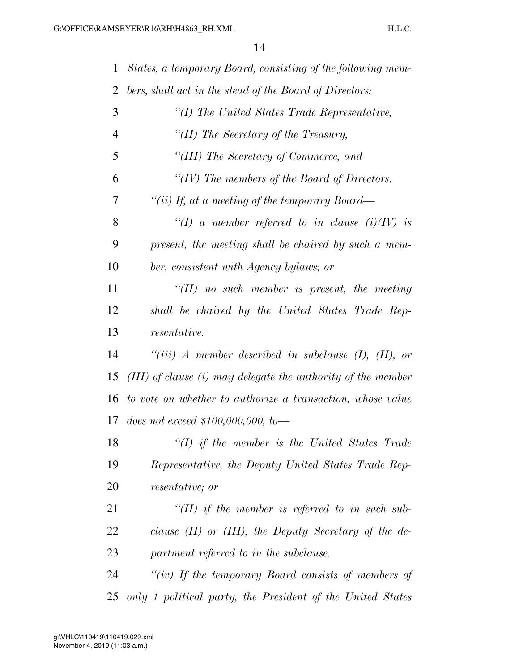| $\mathbf{1}$ | States, a temporary Board, consisting of the following mem-      |
|--------------|------------------------------------------------------------------|
| 2            | bers, shall act in the stead of the Board of Directors:          |
| 3            | "(I) The United States Trade Representative,                     |
| 4            | "(II) The Secretary of the Treasury,                             |
| 5            | "(III) The Secretary of Commerce, and                            |
| 6            | "(IV) The members of the Board of Directors.                     |
| 7            | "(ii) If, at a meeting of the temporary Board—                   |
| 8            | "(I) a member referred to in clause $(i)(IV)$ is                 |
| 9            | present, the meeting shall be chaired by such a mem-             |
| 10           | ber, consistent with Agency bylaws; or                           |
| 11           | $\lq\lq (II)$ no such member is present, the meeting             |
| 12           | shall be chaired by the United States Trade Rep-                 |
| 13           | <i>resentative.</i>                                              |
| 14           | "(iii) A member described in subclause $(I)$ , $(II)$ , or       |
| 15           | $(III)$ of clause $(i)$ may delegate the authority of the member |
| 16           | to vote on whether to authorize a transaction, whose value       |
| 17           | does not exceed $$100,000,000,$ to —                             |
| 18           | $\lq (I)$ if the member is the United States Trade               |
| 19           | Representative, the Deputy United States Trade Rep-              |
| 20           | <i>resentative</i> ; <i>or</i>                                   |
| 21           | "(II) if the member is referred to in such sub-                  |
| 22           | clause $(II)$ or $(III)$ , the Deputy Secretary of the de-       |
| 23           | partment referred to in the subclause.                           |
| 24           | "(iv) If the temporary Board consists of members of              |
| 25           | only 1 political party, the President of the United States       |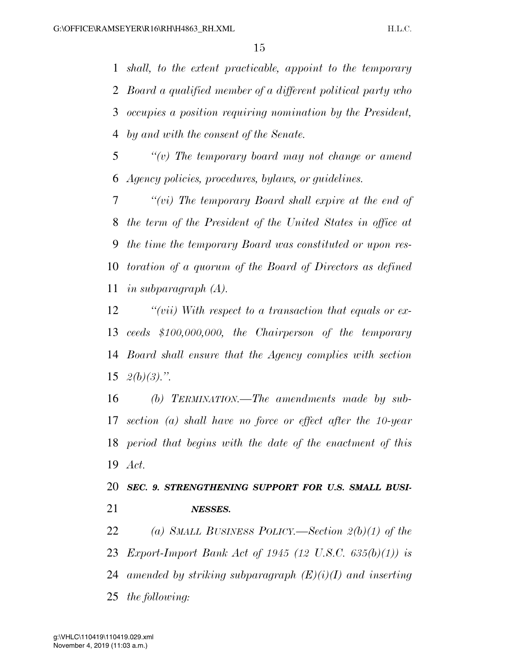*shall, to the extent practicable, appoint to the temporary Board a qualified member of a different political party who occupies a position requiring nomination by the President, by and with the consent of the Senate.* 

 *''(v) The temporary board may not change or amend Agency policies, procedures, bylaws, or guidelines.* 

 *''(vi) The temporary Board shall expire at the end of the term of the President of the United States in office at the time the temporary Board was constituted or upon res- toration of a quorum of the Board of Directors as defined in subparagraph (A).* 

 *''(vii) With respect to a transaction that equals or ex- ceeds \$100,000,000, the Chairperson of the temporary Board shall ensure that the Agency complies with section 2(b)(3).''.* 

 *(b) TERMINATION.—The amendments made by sub- section (a) shall have no force or effect after the 10-year period that begins with the date of the enactment of this Act.* 

 *SEC. 9. STRENGTHENING SUPPORT FOR U.S. SMALL BUSI-NESSES.* 

 *(a) SMALL BUSINESS POLICY.—Section 2(b)(1) of the Export-Import Bank Act of 1945 (12 U.S.C. 635(b)(1)) is amended by striking subparagraph (E)(i)(I) and inserting the following:*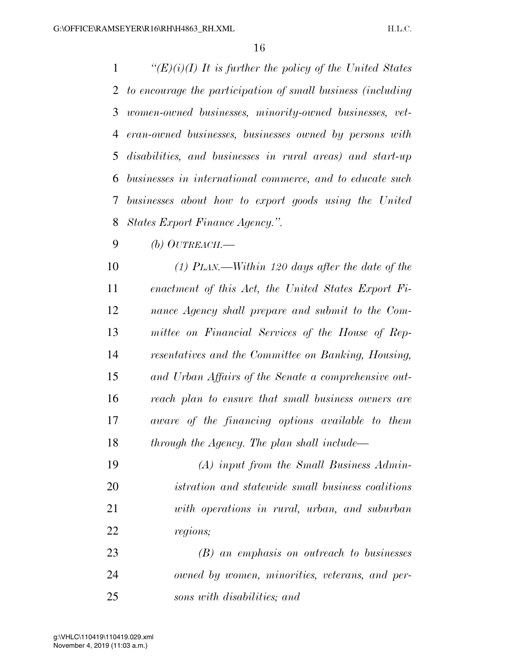*''(E)(i)(I) It is further the policy of the United States to encourage the participation of small business (including women-owned businesses, minority-owned businesses, vet- eran-owned businesses, businesses owned by persons with disabilities, and businesses in rural areas) and start-up businesses in international commerce, and to educate such businesses about how to export goods using the United States Export Finance Agency.''.* 

*(b) OUTREACH.—*

 *(1) PLAN.—Within 120 days after the date of the enactment of this Act, the United States Export Fi- nance Agency shall prepare and submit to the Com- mittee on Financial Services of the House of Rep- resentatives and the Committee on Banking, Housing, and Urban Affairs of the Senate a comprehensive out- reach plan to ensure that small business owners are aware of the financing options available to them through the Agency. The plan shall include—*

 *(A) input from the Small Business Admin- istration and statewide small business coalitions with operations in rural, urban, and suburban regions;* 

 *(B) an emphasis on outreach to businesses owned by women, minorities, veterans, and per-sons with disabilities; and*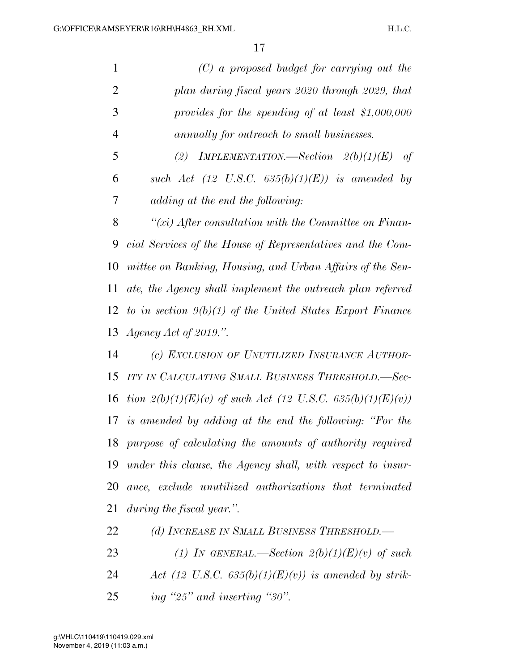|                | $(C)$ a proposed budget for carrying out the                 |
|----------------|--------------------------------------------------------------|
| 2              | plan during fiscal years 2020 through 2029, that             |
| 3              | provides for the spending of at least $$1,000,000$           |
| $\overline{4}$ | annually for outreach to small businesses.                   |
| 5              | IMPLEMENTATION.—Section $2(b)(1)(E)$ of<br>(2)               |
| 6              | such Act (12 U.S.C. $635(b)(1)(E)$ ) is amended by           |
| 7              | adding at the end the following:                             |
| 8              | $\lq\lq(xi)$ After consultation with the Committee on Finan- |
| 9              | cial Services of the House of Representatives and the Com-   |
| 10             | mittee on Banking, Housing, and Urban Affairs of the Sen-    |
|                |                                                              |

 *ate, the Agency shall implement the outreach plan referred to in section 9(b)(1) of the United States Export Finance Agency Act of 2019.''.* 

 *(c) EXCLUSION OF UNUTILIZED INSURANCE AUTHOR- ITY IN CALCULATING SMALL BUSINESS THRESHOLD.—Sec-tion 2(b)(1)(E)(v)* of such Act (12 U.S.C. 635(b)(1)(E)(v)) *is amended by adding at the end the following: ''For the purpose of calculating the amounts of authority required under this clause, the Agency shall, with respect to insur- ance, exclude unutilized authorizations that terminated during the fiscal year.''.* 

*(d) INCREASE IN SMALL BUSINESS THRESHOLD.—*

*(1) IN GENERAL.—Section 2(b)(1)(E)(v) of such* 

- *Act (12 U.S.C. 635(b)(1)(E)(v)) is amended by strik-*
- *ing ''25'' and inserting ''30''.*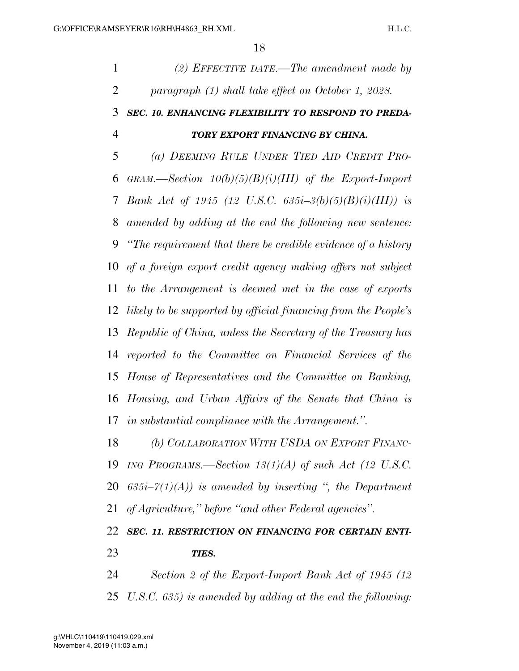| $\mathbf{1}$   | $(2)$ EFFECTIVE DATE.—The amendment made by                       |
|----------------|-------------------------------------------------------------------|
| $\overline{2}$ | paragraph (1) shall take effect on October 1, 2028.               |
| 3              | SEC. 10. ENHANCING FLEXIBILITY TO RESPOND TO PREDA-               |
| $\overline{4}$ | TORY EXPORT FINANCING BY CHINA.                                   |
| 5              | (a) DEEMING RULE UNDER TIED AID CREDIT PRO-                       |
| 6              | GRAM.—Section $10(b)(5)(B)(i)(III)$ of the Export-Import          |
| 7              | <i>Bank Act of 1945 (12 U.S.C. 635i-3(b)(5)(B)(i)(III)) is</i>    |
| 8              | amended by adding at the end the following new sentence:          |
| 9              | "The requirement that there be credible evidence of a history"    |
| 10             | of a foreign export credit agency making offers not subject       |
| 11             | to the Arrangement is deemed met in the case of exports           |
|                | 12 likely to be supported by official financing from the People's |
| 13             | Republic of China, unless the Secretary of the Treasury has       |
| 14             | reported to the Committee on Financial Services of the            |
| 15             | House of Representatives and the Committee on Banking,            |
| 16             | Housing, and Urban Affairs of the Senate that China is            |
| 17             | <i>in substantial compliance with the Arrangement."</i> .         |
| 18             | (b) COLLABORATION WITH USDA ON EXPORT FINANC-                     |
| 19             | ING PROGRAMS.—Section $13(1)(A)$ of such Act (12 U.S.C.           |
| 20             | $635i-7(1)(A)$ is amended by inserting ", the Department          |
| 21             | of Agriculture," before "and other Federal agencies".             |
| 22             | SEC. 11. RESTRICTION ON FINANCING FOR CERTAIN ENTI-               |
| 23             | TIES.                                                             |
| 24             | Section 2 of the Export-Import Bank Act of 1945 (12)              |

*U.S.C. 635) is amended by adding at the end the following:*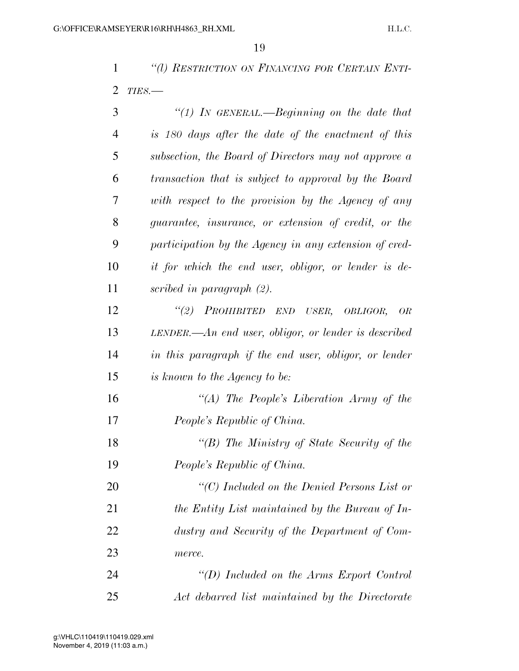*''(l) RESTRICTION ON FINANCING FOR CERTAIN ENTI-TIES.—*

| 3              | "(1) In GENERAL.—Beginning on the date that             |
|----------------|---------------------------------------------------------|
| $\overline{4}$ | is 180 days after the date of the enactment of this     |
| 5              | subsection, the Board of Directors may not approve a    |
| 6              | transaction that is subject to approval by the Board    |
| 7              | with respect to the provision by the Agency of any      |
| 8              | guarantee, insurance, or extension of credit, or the    |
| 9              | participation by the Agency in any extension of cred-   |
| 10             | it for which the end user, obligor, or lender is de-    |
| 11             | scribed in paragraph $(2)$ .                            |
| 12             | PROHIBITED END USER, OBLIGOR,<br>(2)<br>OR              |
| 13             | LENDER.— $An$ end user, obligor, or lender is described |
| 14             | in this paragraph if the end user, obligor, or lender   |
| 15             | is known to the Agency to be:                           |
| 16             | "(A) The People's Liberation Army of the                |
| 17             | People's Republic of China.                             |
| 18             | "(B) The Ministry of State Security of the              |
| 19             | People's Republic of China.                             |
| 20             | " $(C)$ Included on the Denied Persons List or          |
| 21             | the Entity List maintained by the Bureau of In-         |
| 22             | dustry and Security of the Department of Com-           |
| 23             | merce.                                                  |
| 24             | "(D) Included on the Arms Export Control                |
| 25             | Act debarred list maintained by the Directorate         |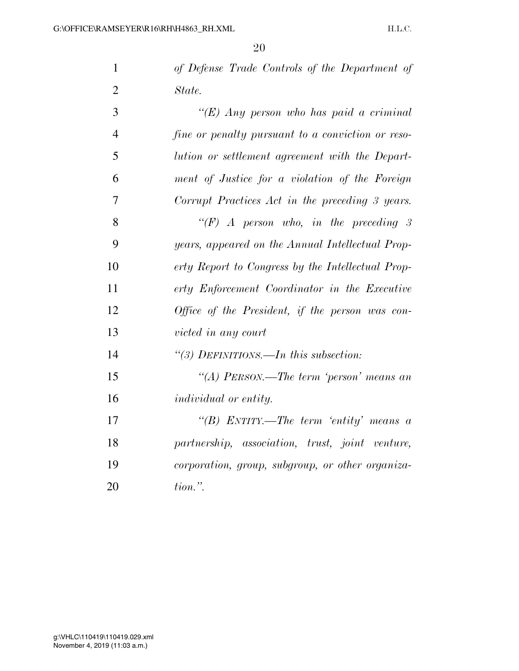| $\mathbf{1}$   | of Defense Trade Controls of the Department of    |
|----------------|---------------------------------------------------|
| $\overline{2}$ | State.                                            |
| 3              | "(E) Any person who has paid a criminal           |
| $\overline{4}$ | fine or penalty pursuant to a conviction or reso- |
| 5              | lution or settlement agreement with the Depart-   |
| 6              | ment of Justice for a violation of the Foreign    |
| 7              | Corrupt Practices Act in the preceding 3 years.   |
| 8              | "(F) A person who, in the preceding 3             |
| 9              | years, appeared on the Annual Intellectual Prop-  |
| 10             | erty Report to Congress by the Intellectual Prop- |
| 11             | erty Enforcement Coordinator in the Executive     |
| 12             | Office of the President, if the person was con-   |
| 13             | victed in any court                               |
| 14             | "(3) DEFINITIONS.—In this subsection:             |
| 15             | "(A) PERSON.—The term 'person' means an           |
| 16             | individual or entity.                             |
| 17             | "(B) ENTITY.—The term 'entity' means a            |
| 18             | partnership, association, trust, joint venture,   |
| 19             | corporation, group, subgroup, or other organiza-  |
| 20             | $tion.$ ".                                        |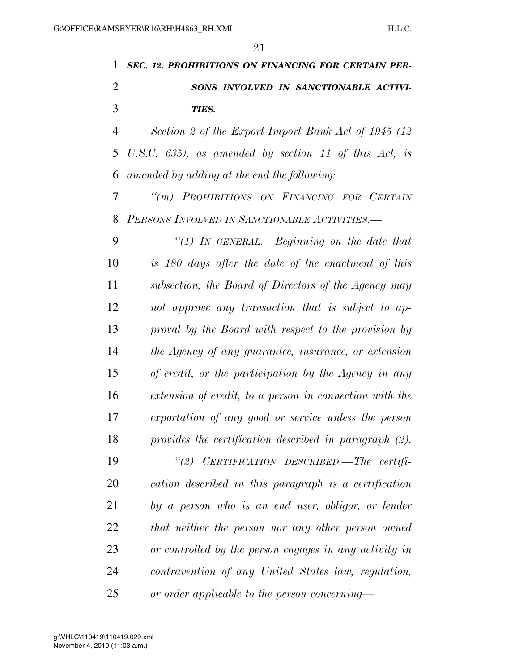*SEC. 12. PROHIBITIONS ON FINANCING FOR CERTAIN PER- SONS INVOLVED IN SANCTIONABLE ACTIVI-TIES.* 

 *Section 2 of the Export-Import Bank Act of 1945 (12 U.S.C. 635), as amended by section 11 of this Act, is amended by adding at the end the following:* 

 *''(m) PROHIBITIONS ON FINANCING FOR CERTAIN PERSONS INVOLVED IN SANCTIONABLE ACTIVITIES.—*

 *''(1) IN GENERAL.—Beginning on the date that is 180 days after the date of the enactment of this subsection, the Board of Directors of the Agency may not approve any transaction that is subject to ap- proval by the Board with respect to the provision by the Agency of any guarantee, insurance, or extension of credit, or the participation by the Agency in any extension of credit, to a person in connection with the exportation of any good or service unless the person provides the certification described in paragraph (2).* 

 *''(2) CERTIFICATION DESCRIBED.—The certifi- cation described in this paragraph is a certification by a person who is an end user, obligor, or lender that neither the person nor any other person owned or controlled by the person engages in any activity in contravention of any United States law, regulation, or order applicable to the person concerning—*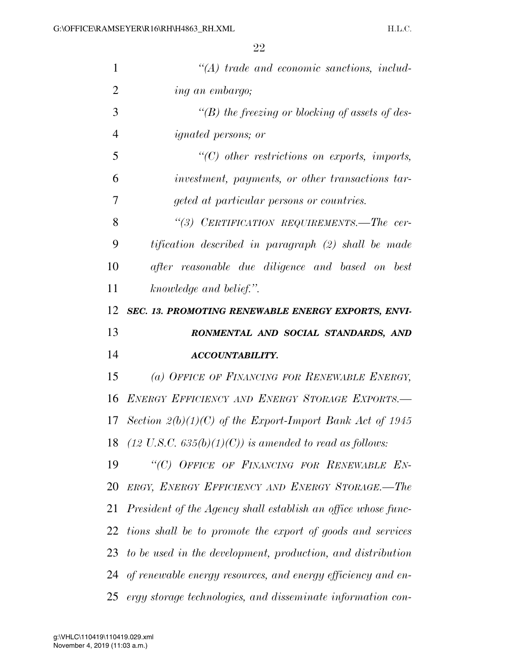| $\mathbf{1}$   | $\lq (A)$ trade and economic sanctions, includ-                    |
|----------------|--------------------------------------------------------------------|
| $\overline{2}$ | ing an embargo;                                                    |
| 3              | "(B) the freezing or blocking of assets of des-                    |
| 4              | <i>ignated persons; or</i>                                         |
| 5              | $\lq\lq C$ other restrictions on exports, imports,                 |
| 6              | investment, payments, or other transactions tar-                   |
| 7              | geted at particular persons or countries.                          |
| 8              | "(3) CERTIFICATION REQUIREMENTS.—The cer-                          |
| 9              | tification described in paragraph (2) shall be made                |
| 10             | after reasonable due diligence and based on best                   |
| 11             | knowledge and belief.".                                            |
| 12             | SEC. 13. PROMOTING RENEWABLE ENERGY EXPORTS, ENVI-                 |
|                |                                                                    |
| 13             | RONMENTAL AND SOCIAL STANDARDS, AND                                |
| 14             | <b>ACCOUNTABILITY.</b>                                             |
| 15             | (a) OFFICE OF FINANCING FOR RENEWABLE ENERGY,                      |
| 16             | ENERGY EFFICIENCY AND ENERGY STORAGE EXPORTS.-                     |
|                | 17 Section $2(b)(1)(C)$ of the Export-Import Bank Act of 1945      |
| 18             | $(12 \text{ U.S.C. } 635(b)(1)(C))$ is amended to read as follows: |
| 19             | "(C) OFFICE OF FINANCING FOR RENEWABLE EN-                         |
| 20             | ERGY, ENERGY EFFICIENCY AND ENERGY STORAGE.-The                    |
| 21             | President of the Agency shall establish an office whose func-      |
| 22             | tions shall be to promote the export of goods and services         |
| 23             | to be used in the development, production, and distribution        |
| 24             | of renewable energy resources, and energy efficiency and en-       |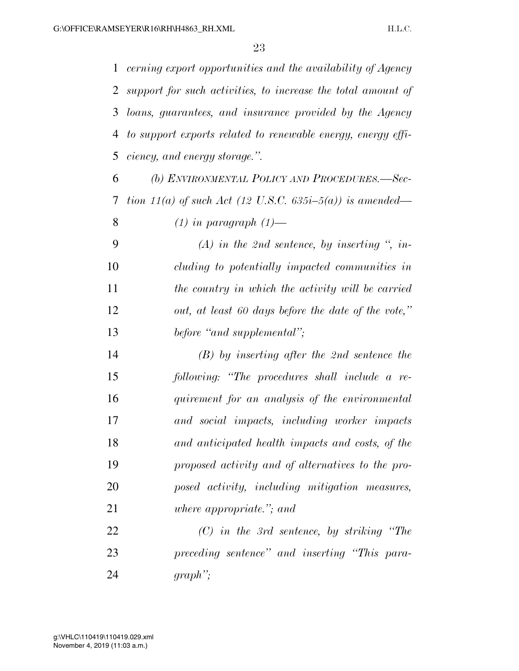*cerning export opportunities and the availability of Agency support for such activities, to increase the total amount of loans, guarantees, and insurance provided by the Agency to support exports related to renewable energy, energy effi-ciency, and energy storage.''.* 

 *(b) ENVIRONMENTAL POLICY AND PROCEDURES.—Sec- tion 11(a) of such Act (12 U.S.C. 635i–5(a)) is amended— (1) in paragraph (1)—*

 *(A) in the 2nd sentence, by inserting '', in- cluding to potentially impacted communities in the country in which the activity will be carried out, at least 60 days before the date of the vote,'' before ''and supplemental'';* 

 *(B) by inserting after the 2nd sentence the following: ''The procedures shall include a re- quirement for an analysis of the environmental and social impacts, including worker impacts and anticipated health impacts and costs, of the proposed activity and of alternatives to the pro- posed activity, including mitigation measures, where appropriate.''; and* 

 *(C) in the 3rd sentence, by striking ''The preceding sentence'' and inserting ''This para-graph'';*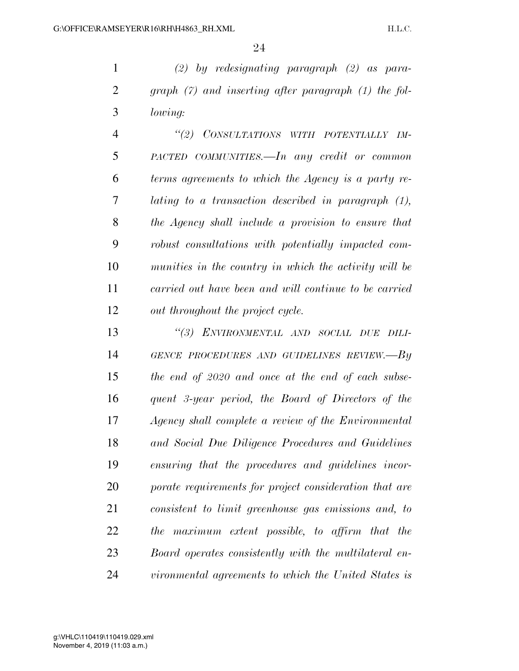*(2) by redesignating paragraph (2) as para- graph (7) and inserting after paragraph (1) the fol-lowing:* 

 *''(2) CONSULTATIONS WITH POTENTIALLY IM- PACTED COMMUNITIES.—In any credit or common terms agreements to which the Agency is a party re- lating to a transaction described in paragraph (1), the Agency shall include a provision to ensure that robust consultations with potentially impacted com- munities in the country in which the activity will be carried out have been and will continue to be carried out throughout the project cycle.* 

 *''(3) ENVIRONMENTAL AND SOCIAL DUE DILI- GENCE PROCEDURES AND GUIDELINES REVIEW.—By the end of 2020 and once at the end of each subse- quent 3-year period, the Board of Directors of the Agency shall complete a review of the Environmental and Social Due Diligence Procedures and Guidelines ensuring that the procedures and guidelines incor- porate requirements for project consideration that are consistent to limit greenhouse gas emissions and, to the maximum extent possible, to affirm that the Board operates consistently with the multilateral en-vironmental agreements to which the United States is*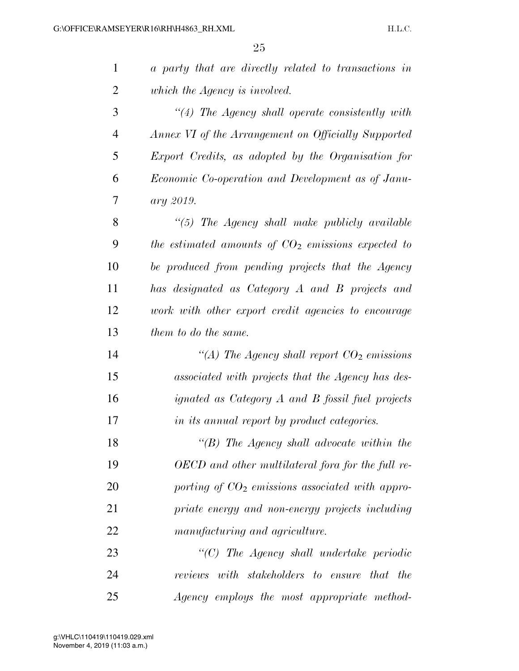| $\mathbf{1}$   | a party that are directly related to transactions in |
|----------------|------------------------------------------------------|
| $\overline{2}$ | which the Agency is involved.                        |
| 3              | $\lq(4)$ The Agency shall operate consistently with  |
| $\overline{4}$ | Annex VI of the Arrangement on Officially Supported  |
| 5              | Export Credits, as adopted by the Organisation for   |
| 6              | Economic Co-operation and Development as of Janu-    |
| 7              | ary 2019.                                            |
| 8              | $\lq(5)$ The Agency shall make publicly available    |
| 9              | the estimated amounts of $CO2$ emissions expected to |
| 10             | be produced from pending projects that the Agency    |
| 11             | has designated as Category A and B projects and      |
| 12             | work with other export credit agencies to encourage  |
| 13             | them to do the same.                                 |
| 14             | "(A) The Agency shall report $CO2$ emissions         |
| 15             | associated with projects that the Agency has des-    |
| 16             | ignated as Category A and B fossil fuel projects     |
| 17             | in its annual report by product categories.          |
| 18             | $\lq\lq(B)$ The Agency shall advocate within the     |
| 19             | OECD and other multilateral fora for the full re-    |
| 20             | porting of $CO2$ emissions associated with appro-    |
| 21             | priate energy and non-energy projects including      |
| 22             | manufacturing and agriculture.                       |
| 23             | $\lq\lq C$ ) The Agency shall undertake periodic     |
| 24             | reviews with stakeholders to ensure that the         |
| 25             | Agency employs the most appropriate method-          |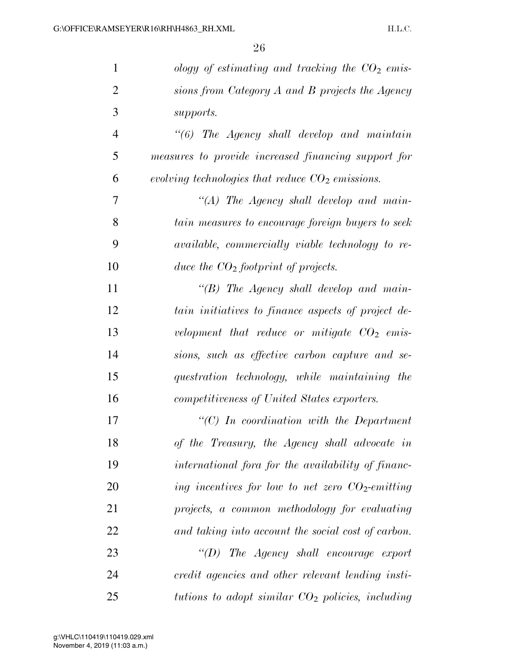| $\mathbf{1}$   | ology of estimating and tracking the $CO2$ emis-        |
|----------------|---------------------------------------------------------|
| $\overline{2}$ | sions from Category A and B projects the Agency         |
| 3              | supports.                                               |
| $\overline{4}$ | $\lq(6)$ The Agency shall develop and maintain          |
| 5              | measures to provide increased financing support for     |
| 6              | evolving technologies that reduce $CO2$ emissions.      |
| 7              | " $(A)$ The Agency shall develop and main-              |
| 8              | tain measures to encourage foreign buyers to seek       |
| 9              | <i>available, commercially viable technology to re-</i> |
| 10             | duce the $CO2$ footprint of projects.                   |
| 11             | $\lq\lq B$ The Agency shall develop and main-           |
| 12             | tain initiatives to finance aspects of project de-      |
| 13             | velopment that reduce or mitigate $CO2$ emis-           |
| 14             | sions, such as effective carbon capture and se-         |
| 15             | questration technology, while maintaining the           |
| 16             | competitiveness of United States exporters.             |
| 17             | $\lq\lq C$ ) In coordination with the Department        |
| 18             | of the Treasury, the Agency shall advocate in           |
| 19             | international fora for the availability of financ-      |
| 20             | ing incentives for low to net zero $CO_2$ -emitting     |
| 21             | projects, a common methodology for evaluating           |
| 22             | and taking into account the social cost of carbon.      |
| 23             | $\lq\lq(D)$ The Agency shall encourage export           |
| 24             | credit agencies and other relevant lending insti-       |
| 25             | tutions to adopt similar $CO2$ policies, including      |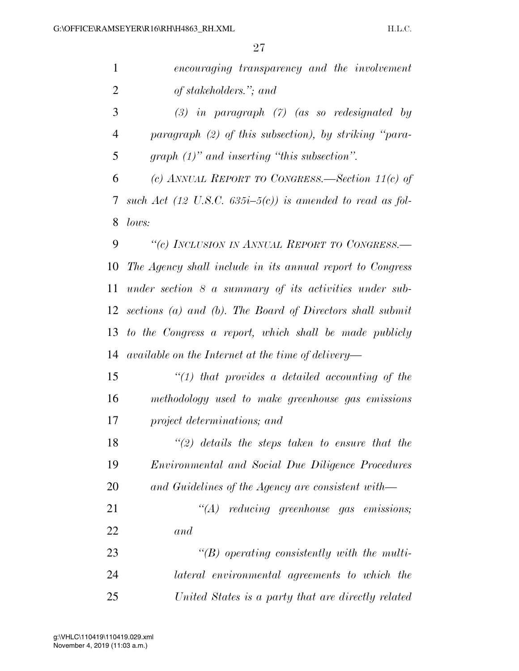| $\mathbf{1}$   | encouraging transparency and the involvement                 |
|----------------|--------------------------------------------------------------|
| $\overline{2}$ | of stakeholders."; and                                       |
| 3              | $(3)$ in paragraph $(7)$ (as so redesignated by              |
| $\overline{4}$ | paragraph $(2)$ of this subsection), by striking "para-      |
| 5              | graph $(1)$ " and inserting "this subsection".               |
| 6              | (c) ANNUAL REPORT TO CONGRESS.—Section 11(c) of              |
| 7              | such Act (12 U.S.C. $635i-5(c)$ ) is amended to read as fol- |
| 8              | lows:                                                        |
| 9              | "(c) INCLUSION IN ANNUAL REPORT TO CONGRESS.-                |
| 10             | The Agency shall include in its annual report to Congress    |
| 11             | under section $8$ a summary of its activities under sub-     |
| 12             | sections (a) and (b). The Board of Directors shall submit    |
| 13             | to the Congress a report, which shall be made publicly       |
| 14             | available on the Internet at the time of delivery—           |
| 15             | $"(1)$ that provides a detailed accounting of the            |
| 16             | methodology used to make greenhouse gas emissions            |
| 17             | project determinations; and                                  |
| 18             | $\lq(2)$ details the steps taken to ensure that the          |
| 19             | <i>Environmental and Social Due Diligence Procedures</i>     |
| 20             | and Guidelines of the Agency are consistent with—            |
| 21             | $\lq\lq (A)$ reducing greenhouse gas emissions;              |
| 22             | and                                                          |
| 23             | $\lq\lq(B)$ operating consistently with the multi-           |
| 24             | lateral environmental agreements to which the                |
| 25             | United States is a party that are directly related           |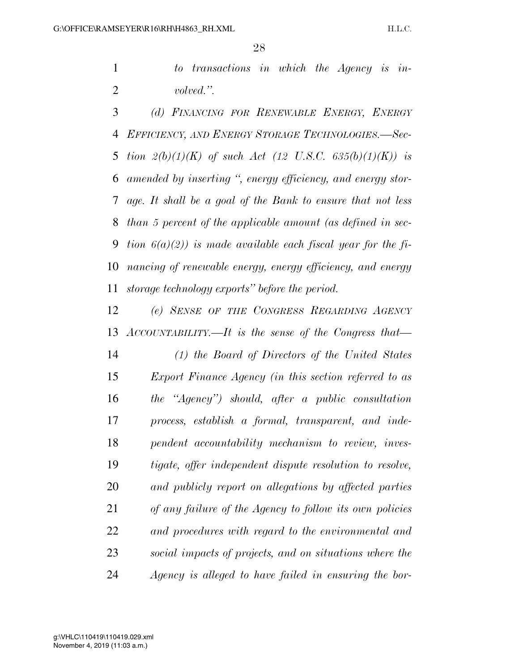*to transactions in which the Agency is in-volved.''.* 

 *(d) FINANCING FOR RENEWABLE ENERGY, ENERGY EFFICIENCY, AND ENERGY STORAGE TECHNOLOGIES.—Sec- tion 2(b)(1)(K) of such Act (12 U.S.C. 635(b)(1)(K)) is amended by inserting '', energy efficiency, and energy stor- age. It shall be a goal of the Bank to ensure that not less than 5 percent of the applicable amount (as defined in sec- tion 6(a)(2)) is made available each fiscal year for the fi- nancing of renewable energy, energy efficiency, and energy storage technology exports'' before the period.* 

 *(e) SENSE OF THE CONGRESS REGARDING AGENCY ACCOUNTABILITY.—It is the sense of the Congress that— (1) the Board of Directors of the United States Export Finance Agency (in this section referred to as the ''Agency'') should, after a public consultation process, establish a formal, transparent, and inde-pendent accountability mechanism to review, inves-*

 *tigate, offer independent dispute resolution to resolve, and publicly report on allegations by affected parties of any failure of the Agency to follow its own policies and procedures with regard to the environmental and social impacts of projects, and on situations where the Agency is alleged to have failed in ensuring the bor-*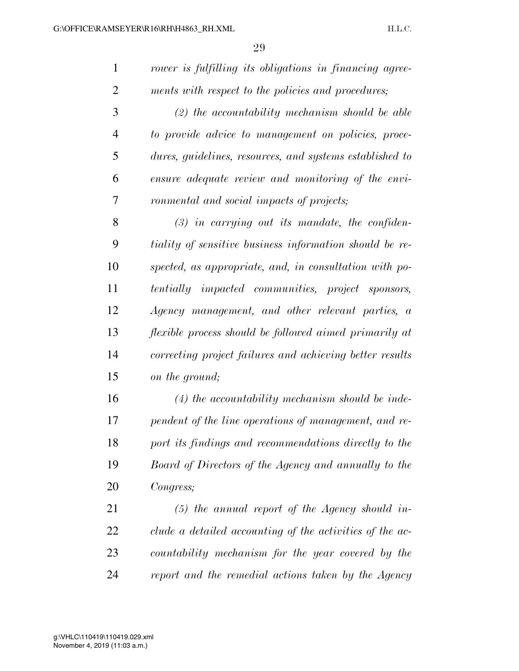| $\mathbf{1}$   | rower is fulfilling its obligations in financing agree-  |
|----------------|----------------------------------------------------------|
| $\overline{2}$ | ments with respect to the policies and procedures;       |
| 3              | $(2)$ the accountability mechanism should be able        |
| 4              | to provide advice to management on policies, proce-      |
| 5              | dures, guidelines, resources, and systems established to |
| 6              | ensure adequate review and monitoring of the envi-       |
| 7              | ronmental and social impacts of projects;                |
| 8              | $(3)$ in carrying out its mandate, the confiden-         |
| 9              | tiality of sensitive business information should be re-  |
| 10             | spected, as appropriate, and, in consultation with po-   |
| 11             | tentially impacted communities, project sponsors,        |
| 12             | Agency management, and other relevant parties, a         |
| 13             | flexible process should be followed aimed primarily at   |
| 14             | correcting project failures and achieving better results |
| 15             | on the ground;                                           |
| 16             | $(4)$ the accountability mechanism should be inde-       |
| 17             | pendent of the line operations of management, and re-    |
| 18             | port its findings and recommendations directly to the    |
| 19             | Board of Directors of the Agency and annually to the     |
| 20             | Congress;                                                |
| 21             | $(5)$ the annual report of the Agency should in-         |
| 22             | clude a detailed accounting of the activities of the ac- |
| 23             | countability mechanism for the year covered by the       |
|                |                                                          |

*report and the remedial actions taken by the Agency*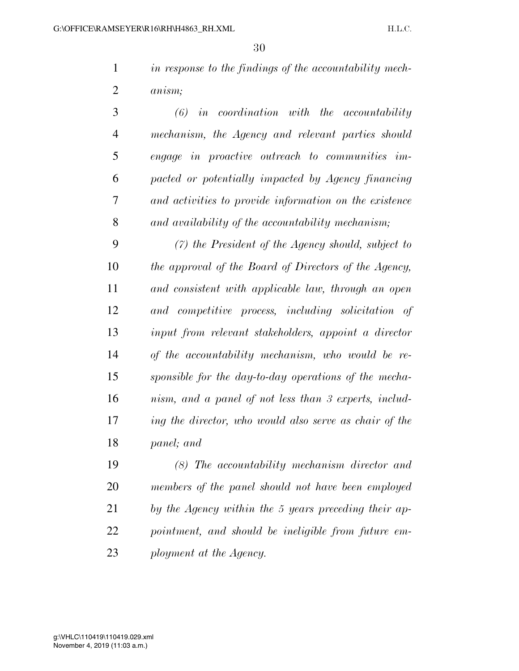*in response to the findings of the accountability mech-anism;* 

 *(6) in coordination with the accountability mechanism, the Agency and relevant parties should engage in proactive outreach to communities im- pacted or potentially impacted by Agency financing and activities to provide information on the existence and availability of the accountability mechanism;* 

 *(7) the President of the Agency should, subject to the approval of the Board of Directors of the Agency, and consistent with applicable law, through an open and competitive process, including solicitation of input from relevant stakeholders, appoint a director of the accountability mechanism, who would be re- sponsible for the day-to-day operations of the mecha- nism, and a panel of not less than 3 experts, includ- ing the director, who would also serve as chair of the panel; and* 

 *(8) The accountability mechanism director and members of the panel should not have been employed by the Agency within the 5 years preceding their ap- pointment, and should be ineligible from future em-ployment at the Agency.*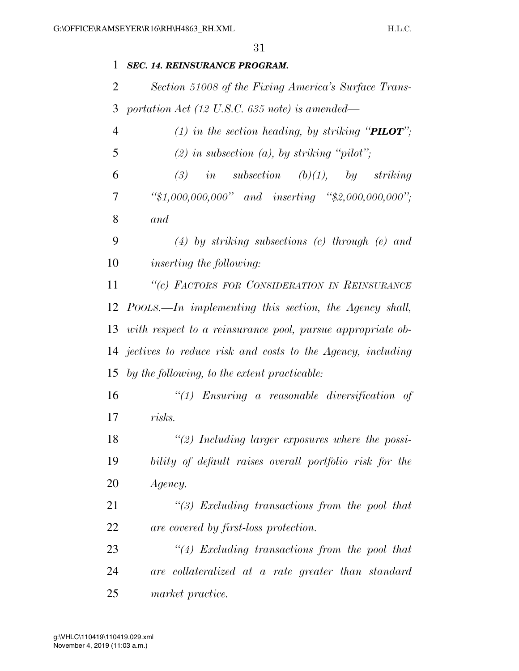### *SEC. 14. REINSURANCE PROGRAM.*

 *Section 51008 of the Fixing America's Surface Trans-portation Act (12 U.S.C. 635 note) is amended—*

| $\overline{4}$ | (1) in the section heading, by striking " <b>PILOT</b> "; |  |  |
|----------------|-----------------------------------------------------------|--|--|
| 5              | (2) in subsection (a), by striking "pilot";               |  |  |
| 6              | (3) in subsection (b)(1), by striking                     |  |  |
| $\tau$         | "\$1,000,000,000" and inserting "\$2,000,000,000";        |  |  |
| 8              | and                                                       |  |  |

 *(4) by striking subsections (c) through (e) and inserting the following:* 

 *''(c) FACTORS FOR CONSIDERATION IN REINSURANCE POOLS.—In implementing this section, the Agency shall, with respect to a reinsurance pool, pursue appropriate ob- jectives to reduce risk and costs to the Agency, including by the following, to the extent practicable:* 

 *''(1) Ensuring a reasonable diversification of risks.* 

 *''(2) Including larger exposures where the possi- bility of default raises overall portfolio risk for the Agency.* 

 *''(3) Excluding transactions from the pool that are covered by first-loss protection.* 

 *''(4) Excluding transactions from the pool that are collateralized at a rate greater than standard market practice.*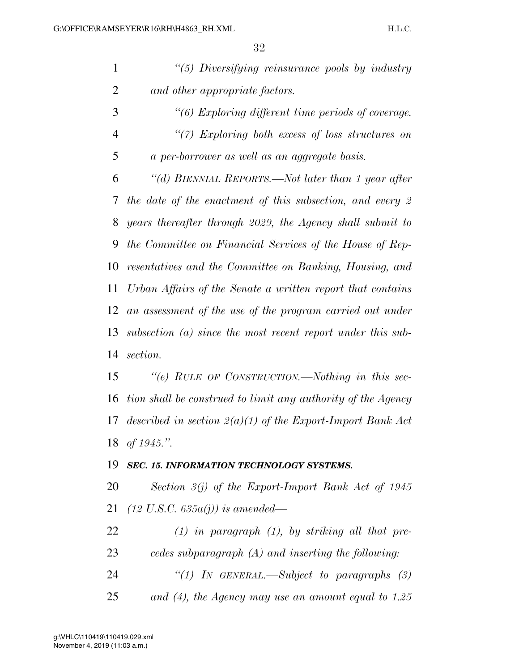| $\mathbf{1}$   | "(5) Diversifying reinsurance pools by industry               |
|----------------|---------------------------------------------------------------|
| $\overline{2}$ | and other appropriate factors.                                |
| 3              | $\lq\lq(6)$ Exploring different time periods of coverage.     |
| $\overline{4}$ | $\lq(7)$ Exploring both excess of loss structures on          |
| 5              | a per-borrower as well as an aggregate basis.                 |
| 6              | "(d) BIENNIAL REPORTS.—Not later than 1 year after            |
| 7              | the date of the enactment of this subsection, and every $2$   |
| 8              | years thereafter through 2029, the Agency shall submit to     |
| 9              | the Committee on Financial Services of the House of Rep-      |
| 10             | resentatives and the Committee on Banking, Housing, and       |
| 11             | Urban Affairs of the Senate a written report that contains    |
| 12             | an assessment of the use of the program carried out under     |
| 13             | subsection $(a)$ since the most recent report under this sub- |
| 14             | section.                                                      |
| 15             | "(e) RULE OF CONSTRUCTION.—Nothing in this sec-               |
| 16             | tion shall be construed to limit any authority of the Agency  |
| 17             | described in section $2(a)(1)$ of the Export-Import Bank Act  |
|                | 18 of 1945.".                                                 |
| 19             | SEC. 15. INFORMATION TECHNOLOGY SYSTEMS.                      |
| 20             | Section $3(j)$ of the Export-Import Bank Act of 1945          |
| 21             | $(12 \text{ U.S.C. } 635a(j))$ is amended—                    |
| 22             | $(1)$ in paragraph $(1)$ , by striking all that pre-          |
| 23             | cedes subparagraph $(A)$ and inserting the following:         |
| 24             | "(1) IN GENERAL.—Subject to paragraphs $(3)$                  |
|                |                                                               |

*and (4), the Agency may use an amount equal to 1.25*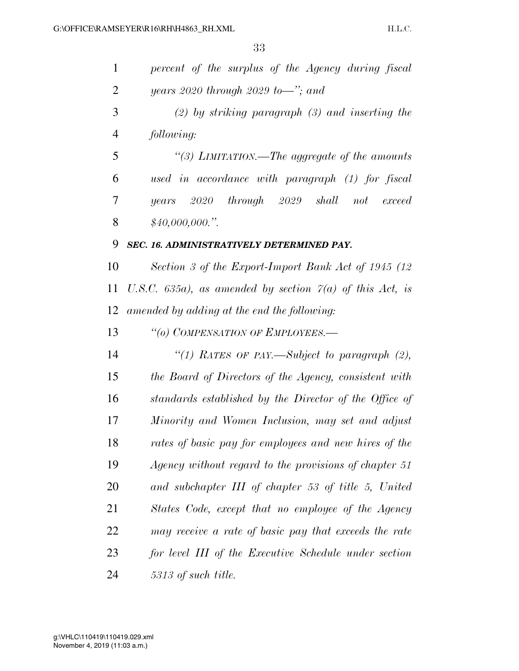| $\mathbf{1}$ | percent of the surplus of the Agency during fiscal         |
|--------------|------------------------------------------------------------|
| 2            | years 2020 through 2029 to-"; and                          |
| 3            | $(2)$ by striking paragraph $(3)$ and inserting the        |
| 4            | following:                                                 |
| 5            | "(3) LIMITATION.—The aggregate of the amounts              |
| 6            | used in accordance with paragraph (1) for fiscal           |
| 7            | years 2020 through 2029 shall not<br>exceed                |
| 8            | \$40,000,000."                                             |
| 9            | SEC. 16. ADMINISTRATIVELY DETERMINED PAY.                  |
| 10           | Section 3 of the Export-Import Bank Act of 1945 (12)       |
| 11           | U.S.C. 635a), as amended by section $7(a)$ of this Act, is |
| 12           | amended by adding at the end the following:                |
| 13           | "(o) COMPENSATION OF EMPLOYEES.-                           |
| 14           | "(1) RATES OF PAY.—Subject to paragraph $(2)$ ,            |
| 15           | the Board of Directors of the Agency, consistent with      |
| 16           | standards established by the Director of the Office of     |
| 17           | Minority and Women Inclusion, may set and adjust           |
| 18           | rates of basic pay for employees and new hires of the      |
| 19           | Agency without regard to the provisions of chapter 51      |
| 20           | and subchapter III of chapter 53 of title 5, United        |
| 21           | States Code, except that no employee of the Agency         |
| 22           | may receive a rate of basic pay that exceeds the rate      |
| 23           |                                                            |
|              | for level III of the Executive Schedule under section      |